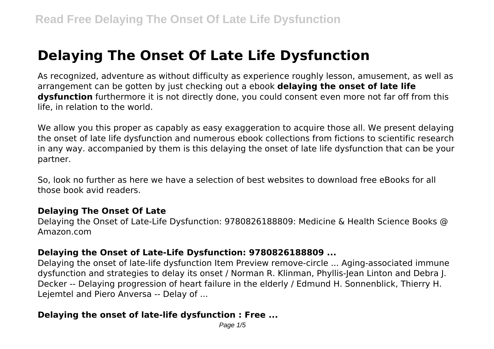# **Delaying The Onset Of Late Life Dysfunction**

As recognized, adventure as without difficulty as experience roughly lesson, amusement, as well as arrangement can be gotten by just checking out a ebook **delaying the onset of late life dysfunction** furthermore it is not directly done, you could consent even more not far off from this life, in relation to the world.

We allow you this proper as capably as easy exaggeration to acquire those all. We present delaying the onset of late life dysfunction and numerous ebook collections from fictions to scientific research in any way. accompanied by them is this delaying the onset of late life dysfunction that can be your partner.

So, look no further as here we have a selection of best websites to download free eBooks for all those book avid readers.

#### **Delaying The Onset Of Late**

Delaying the Onset of Late-Life Dysfunction: 9780826188809: Medicine & Health Science Books @ Amazon.com

#### **Delaying the Onset of Late-Life Dysfunction: 9780826188809 ...**

Delaying the onset of late-life dysfunction Item Preview remove-circle ... Aging-associated immune dysfunction and strategies to delay its onset / Norman R. Klinman, Phyllis-Jean Linton and Debra J. Decker -- Delaying progression of heart failure in the elderly / Edmund H. Sonnenblick, Thierry H. Lejemtel and Piero Anversa -- Delay of ...

#### **Delaying the onset of late-life dysfunction : Free ...**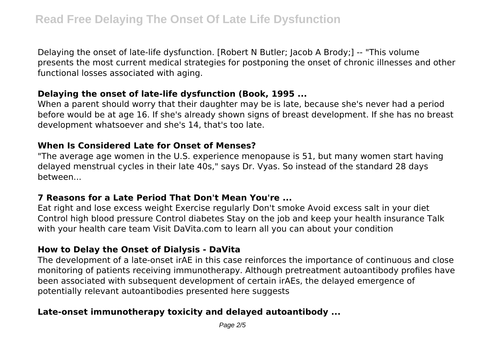Delaying the onset of late-life dysfunction. [Robert N Butler; Jacob A Brody;] -- "This volume presents the most current medical strategies for postponing the onset of chronic illnesses and other functional losses associated with aging.

#### **Delaying the onset of late-life dysfunction (Book, 1995 ...**

When a parent should worry that their daughter may be is late, because she's never had a period before would be at age 16. If she's already shown signs of breast development. If she has no breast development whatsoever and she's 14, that's too late.

#### **When Is Considered Late for Onset of Menses?**

"The average age women in the U.S. experience menopause is 51, but many women start having delayed menstrual cycles in their late 40s," says Dr. Vyas. So instead of the standard 28 days between...

# **7 Reasons for a Late Period That Don't Mean You're ...**

Eat right and lose excess weight Exercise regularly Don't smoke Avoid excess salt in your diet Control high blood pressure Control diabetes Stay on the job and keep your health insurance Talk with your health care team Visit DaVita.com to learn all you can about your condition

# **How to Delay the Onset of Dialysis - DaVita**

The development of a late-onset irAE in this case reinforces the importance of continuous and close monitoring of patients receiving immunotherapy. Although pretreatment autoantibody profiles have been associated with subsequent development of certain irAEs, the delayed emergence of potentially relevant autoantibodies presented here suggests

# **Late-onset immunotherapy toxicity and delayed autoantibody ...**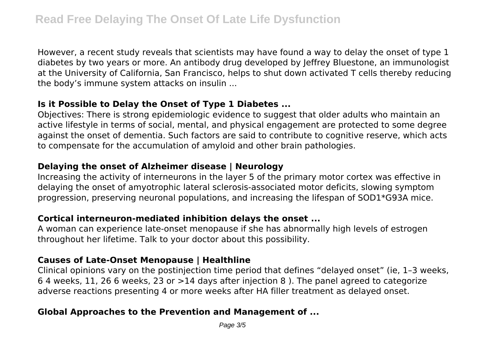However, a recent study reveals that scientists may have found a way to delay the onset of type 1 diabetes by two years or more. An antibody drug developed by Jeffrey Bluestone, an immunologist at the University of California, San Francisco, helps to shut down activated T cells thereby reducing the body's immune system attacks on insulin ...

# **Is it Possible to Delay the Onset of Type 1 Diabetes ...**

Objectives: There is strong epidemiologic evidence to suggest that older adults who maintain an active lifestyle in terms of social, mental, and physical engagement are protected to some degree against the onset of dementia. Such factors are said to contribute to cognitive reserve, which acts to compensate for the accumulation of amyloid and other brain pathologies.

#### **Delaying the onset of Alzheimer disease | Neurology**

Increasing the activity of interneurons in the layer 5 of the primary motor cortex was effective in delaying the onset of amyotrophic lateral sclerosis-associated motor deficits, slowing symptom progression, preserving neuronal populations, and increasing the lifespan of SOD1\*G93A mice.

#### **Cortical interneuron-mediated inhibition delays the onset ...**

A woman can experience late-onset menopause if she has abnormally high levels of estrogen throughout her lifetime. Talk to your doctor about this possibility.

#### **Causes of Late-Onset Menopause | Healthline**

Clinical opinions vary on the postinjection time period that defines "delayed onset" (ie, 1–3 weeks, 6 4 weeks, 11, 26 6 weeks, 23 or  $>14$  days after injection 8). The panel agreed to categorize adverse reactions presenting 4 or more weeks after HA filler treatment as delayed onset.

## **Global Approaches to the Prevention and Management of ...**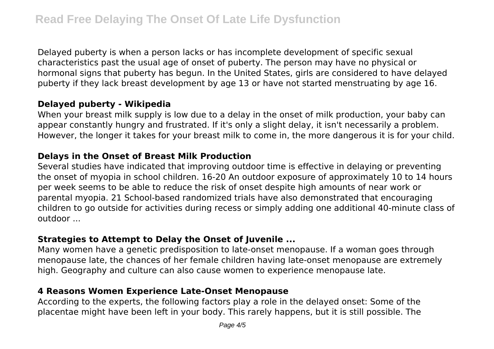Delayed puberty is when a person lacks or has incomplete development of specific sexual characteristics past the usual age of onset of puberty. The person may have no physical or hormonal signs that puberty has begun. In the United States, girls are considered to have delayed puberty if they lack breast development by age 13 or have not started menstruating by age 16.

#### **Delayed puberty - Wikipedia**

When your breast milk supply is low due to a delay in the onset of milk production, your baby can appear constantly hungry and frustrated. If it's only a slight delay, it isn't necessarily a problem. However, the longer it takes for your breast milk to come in, the more dangerous it is for your child.

#### **Delays in the Onset of Breast Milk Production**

Several studies have indicated that improving outdoor time is effective in delaying or preventing the onset of myopia in school children. 16-20 An outdoor exposure of approximately 10 to 14 hours per week seems to be able to reduce the risk of onset despite high amounts of near work or parental myopia. 21 School-based randomized trials have also demonstrated that encouraging children to go outside for activities during recess or simply adding one additional 40-minute class of outdoor ...

# **Strategies to Attempt to Delay the Onset of Juvenile ...**

Many women have a genetic predisposition to late-onset menopause. If a woman goes through menopause late, the chances of her female children having late-onset menopause are extremely high. Geography and culture can also cause women to experience menopause late.

## **4 Reasons Women Experience Late-Onset Menopause**

According to the experts, the following factors play a role in the delayed onset: Some of the placentae might have been left in your body. This rarely happens, but it is still possible. The